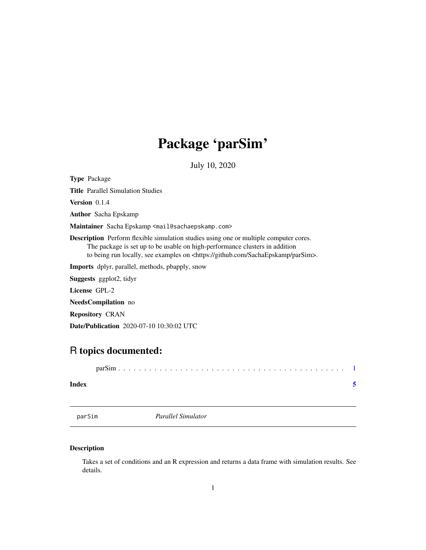## <span id="page-0-0"></span>Package 'parSim'

July 10, 2020

Type Package

Title Parallel Simulation Studies

Version 0.1.4

Author Sacha Epskamp

Maintainer Sacha Epskamp <mail@sachaepskamp.com>

Description Perform flexible simulation studies using one or multiple computer cores. The package is set up to be usable on high-performance clusters in addition to being run locally, see examples on <https://github.com/SachaEpskamp/parSim>.

Imports dplyr, parallel, methods, pbapply, snow

Suggests ggplot2, tidyr

License GPL-2

NeedsCompilation no

Repository CRAN

Date/Publication 2020-07-10 10:30:02 UTC

### R topics documented:

| Index |  |
|-------|--|

parSim *Parallel Simulator*

#### Description

Takes a set of conditions and an R expression and returns a data frame with simulation results. See details.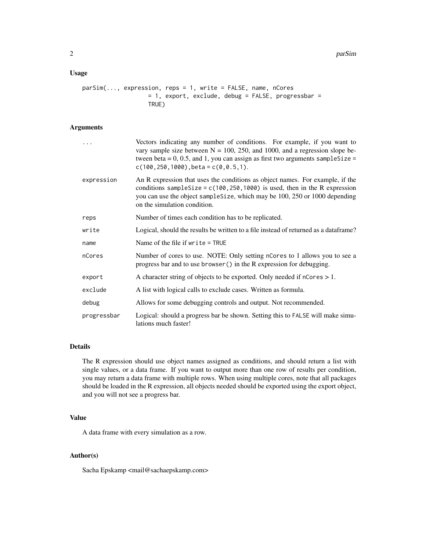#### Usage

```
parSim(..., expression, reps = 1, write = FALSE, name, nCores
                   = 1, export, exclude, debug = FALSE, progressbar =
                   TRUE)
```
#### Arguments

|             | Vectors indicating any number of conditions. For example, if you want to<br>vary sample size between $N = 100$ , 250, and 1000, and a regression slope be-<br>tween beta = $0, 0.5$ , and 1, you can assign as first two arguments sample Size =<br>$c(100, 250, 1000)$ , beta = $c(0, 0.5, 1)$ . |
|-------------|---------------------------------------------------------------------------------------------------------------------------------------------------------------------------------------------------------------------------------------------------------------------------------------------------|
| expression  | An R expression that uses the conditions as object names. For example, if the<br>conditions sampleSize = $c(100, 250, 1000)$ is used, then in the R expression<br>you can use the object sampleSize, which may be 100, 250 or 1000 depending<br>on the simulation condition.                      |
| reps        | Number of times each condition has to be replicated.                                                                                                                                                                                                                                              |
| write       | Logical, should the results be written to a file instead of returned as a dataframe?                                                                                                                                                                                                              |
| name        | Name of the file if $write = TRUE$                                                                                                                                                                                                                                                                |
| nCores      | Number of cores to use. NOTE: Only setting nCores to 1 allows you to see a<br>progress bar and to use browser () in the R expression for debugging.                                                                                                                                               |
| export      | A character string of objects to be exported. Only needed if $n{\text{Cores}} > 1$ .                                                                                                                                                                                                              |
| exclude     | A list with logical calls to exclude cases. Written as formula.                                                                                                                                                                                                                                   |
| debug       | Allows for some debugging controls and output. Not recommended.                                                                                                                                                                                                                                   |
| progressbar | Logical: should a progress bar be shown. Setting this to FALSE will make simu-<br>lations much faster!                                                                                                                                                                                            |

#### Details

The R expression should use object names assigned as conditions, and should return a list with single values, or a data frame. If you want to output more than one row of results per condition, you may return a data frame with multiple rows. When using multiple cores, note that all packages should be loaded in the R expression, all objects needed should be exported using the export object, and you will not see a progress bar.

#### Value

A data frame with every simulation as a row.

#### Author(s)

Sacha Epskamp <mail@sachaepskamp.com>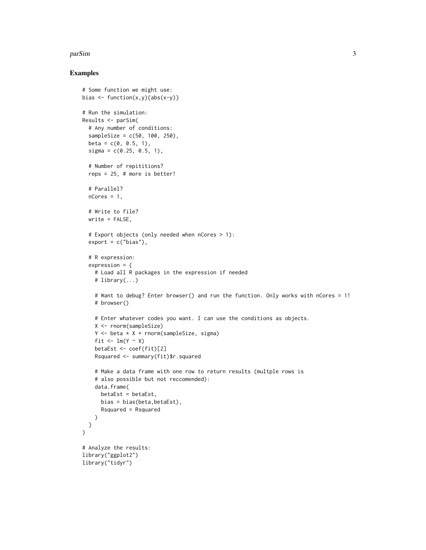#### parSim 3

#### Examples

```
# Some function we might use:
bias \leftarrow function(x,y){abs(x-y)}
# Run the simulation:
Results <- parSim(
  # Any number of conditions:
  sampleSize = c(50, 100, 250),
  beta = c(0, 0.5, 1),signa = c(0.25, 0.5, 1),# Number of repititions?
  reps = 25, # more is better!
  # Parallel?
  nCores = 1.
  # Write to file?
  write = FALSE,
  # Export objects (only needed when nCores > 1):
  export = c("bias"),
  # R expression:
  expression = {
    # Load all R packages in the expression if needed
    # library(...)
    # Want to debug? Enter browser() and run the function. Only works with nCores = 1!
    # browser()
    # Enter whatever codes you want. I can use the conditions as objects.
   X <- rnorm(sampleSize)
   Y \leftarrow beta * X + rnorm(sampleSize, sigma)
    fit \leftarrow lm(Y \sim X)
   betaEst <- coef(fit)[2]
   Rsquared <- summary(fit)$r.squared
    # Make a data frame with one row to return results (multple rows is
    # also possible but not reccomended):
    data.frame(
     betaEst = betaEst,
     bias = bias(beta,betaEst),
      Rsquared = Rsquared
   )
 }
)
# Analyze the results:
library("ggplot2")
library("tidyr")
```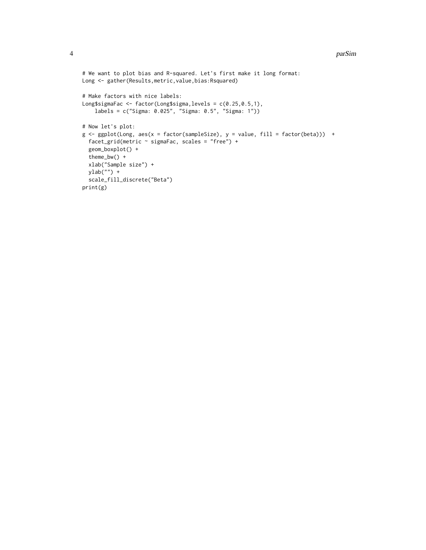```
# We want to plot bias and R-squared. Let's first make it long format:
Long <- gather(Results,metric,value,bias:Rsquared)
# Make factors with nice labels:
Long$sigmaFac <- factor(Long$sigma,levels = c(0.25,0.5,1),
    labels = c("Sigma: 0.025", "Sigma: 0.5", "Sigma: 1"))
# Now let's plot:
g \leftarrow ggplot(Long, aes(x = factor(sampleSize), y = value, fill = factor(beta))) +facet_grid(metric ~ sigmaFac, scales = "free") +
  geom_boxplot() +
  theme_bw() +
  xlab("Sample size") +
  ylab\binom{m}{y} +
  scale_fill_discrete("Beta")
print(g)
```